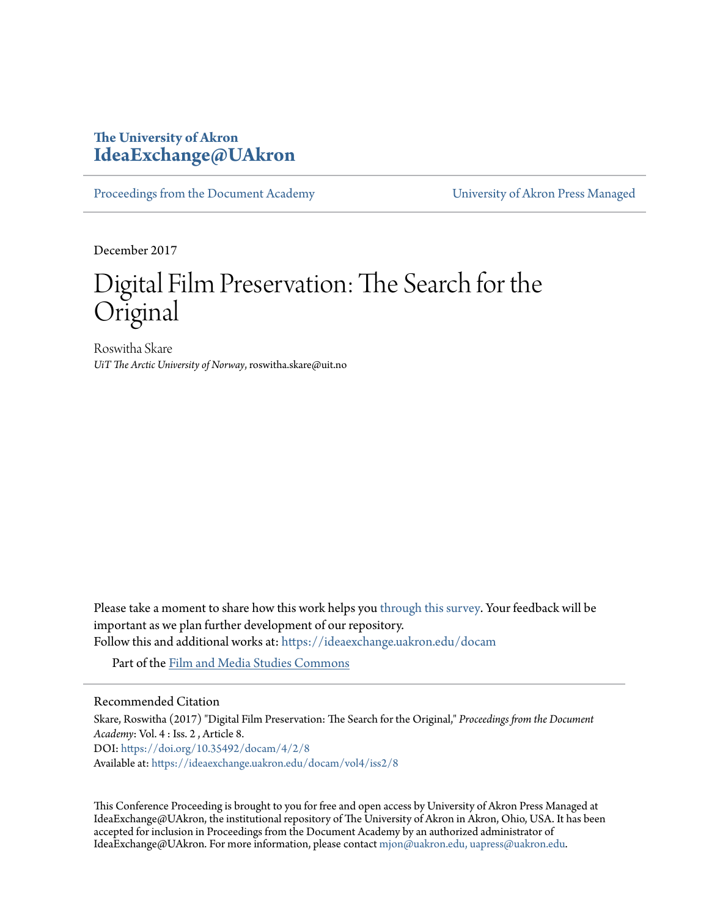# **The University of Akron [IdeaExchange@UAkron](https://ideaexchange.uakron.edu?utm_source=ideaexchange.uakron.edu%2Fdocam%2Fvol4%2Fiss2%2F8&utm_medium=PDF&utm_campaign=PDFCoverPages)**

[Proceedings from the Document Academy](https://ideaexchange.uakron.edu/docam?utm_source=ideaexchange.uakron.edu%2Fdocam%2Fvol4%2Fiss2%2F8&utm_medium=PDF&utm_campaign=PDFCoverPages) [University of Akron Press Managed](https://ideaexchange.uakron.edu/uapress_journals?utm_source=ideaexchange.uakron.edu%2Fdocam%2Fvol4%2Fiss2%2F8&utm_medium=PDF&utm_campaign=PDFCoverPages)

December 2017

# Digital Film Preservation: The Search for the Original

Roswitha Skare *UiT The Arctic University of Norway*, roswitha.skare@uit.no

Please take a moment to share how this work helps you [through this survey.](http://survey.az1.qualtrics.com/SE/?SID=SV_eEVH54oiCbOw05f&URL=https://ideaexchange.uakron.edu/docam/vol4/iss2/8) Your feedback will be important as we plan further development of our repository.

Follow this and additional works at: [https://ideaexchange.uakron.edu/docam](https://ideaexchange.uakron.edu/docam?utm_source=ideaexchange.uakron.edu%2Fdocam%2Fvol4%2Fiss2%2F8&utm_medium=PDF&utm_campaign=PDFCoverPages)

Part of the [Film and Media Studies Commons](http://network.bepress.com/hgg/discipline/563?utm_source=ideaexchange.uakron.edu%2Fdocam%2Fvol4%2Fiss2%2F8&utm_medium=PDF&utm_campaign=PDFCoverPages)

#### Recommended Citation

Skare, Roswitha (2017) "Digital Film Preservation: The Search for the Original," *Proceedings from the Document Academy*: Vol. 4 : Iss. 2 , Article 8. DOI: <https://doi.org/10.35492/docam/4/2/8> Available at: [https://ideaexchange.uakron.edu/docam/vol4/iss2/8](https://ideaexchange.uakron.edu/docam/vol4/iss2/8?utm_source=ideaexchange.uakron.edu%2Fdocam%2Fvol4%2Fiss2%2F8&utm_medium=PDF&utm_campaign=PDFCoverPages)

This Conference Proceeding is brought to you for free and open access by University of Akron Press Managed at IdeaExchange@UAkron, the institutional repository of The University of Akron in Akron, Ohio, USA. It has been accepted for inclusion in Proceedings from the Document Academy by an authorized administrator of IdeaExchange@UAkron. For more information, please contact [mjon@uakron.edu, uapress@uakron.edu](mailto:mjon@uakron.edu,%20uapress@uakron.edu).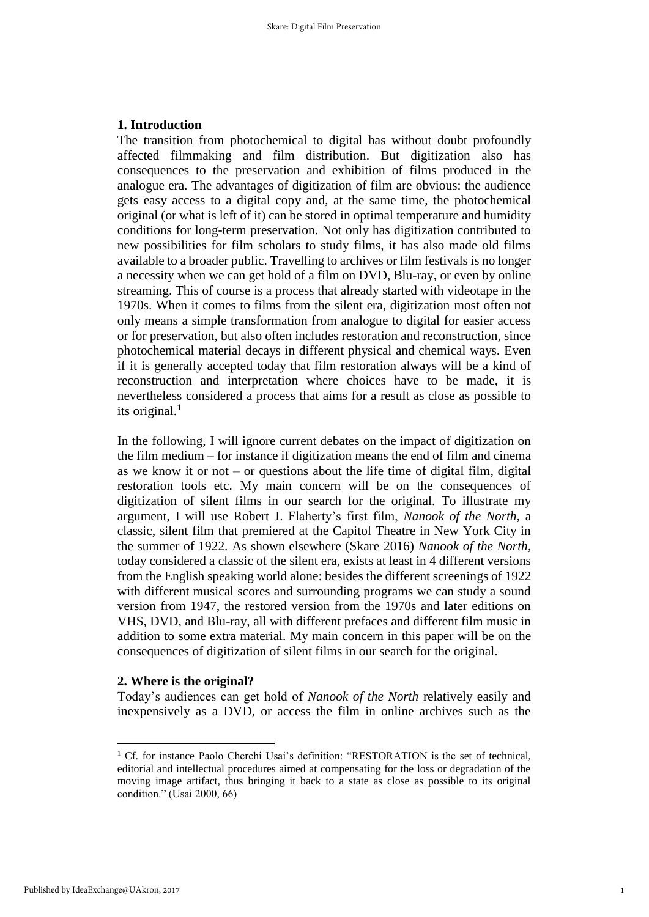#### **1. Introduction**

The transition from photochemical to digital has without doubt profoundly affected filmmaking and film distribution. But digitization also has consequences to the preservation and exhibition of films produced in the analogue era. The advantages of digitization of film are obvious: the audience gets easy access to a digital copy and, at the same time, the photochemical original (or what is left of it) can be stored in optimal temperature and humidity conditions for long-term preservation. Not only has digitization contributed to new possibilities for film scholars to study films, it has also made old films available to a broader public. Travelling to archives or film festivals is no longer a necessity when we can get hold of a film on DVD, Blu-ray, or even by online streaming. This of course is a process that already started with videotape in the 1970s. When it comes to films from the silent era, digitization most often not only means a simple transformation from analogue to digital for easier access or for preservation, but also often includes restoration and reconstruction, since photochemical material decays in different physical and chemical ways. Even if it is generally accepted today that film restoration always will be a kind of reconstruction and interpretation where choices have to be made, it is nevertheless considered a process that aims for a result as close as possible to its original. **1**

In the following, I will ignore current debates on the impact of digitization on the film medium – for instance if digitization means the end of film and cinema as we know it or not – or questions about the life time of digital film, digital restoration tools etc. My main concern will be on the consequences of digitization of silent films in our search for the original. To illustrate my argument, I will use Robert J. Flaherty's first film, *Nanook of the North*, a classic, silent film that premiered at the Capitol Theatre in New York City in the summer of 1922. As shown elsewhere (Skare 2016) *Nanook of the North*, today considered a classic of the silent era, exists at least in 4 different versions from the English speaking world alone: besides the different screenings of 1922 with different musical scores and surrounding programs we can study a sound version from 1947, the restored version from the 1970s and later editions on VHS, DVD, and Blu-ray, all with different prefaces and different film music in addition to some extra material. My main concern in this paper will be on the consequences of digitization of silent films in our search for the original.

#### **2. Where is the original?**

Today's audiences can get hold of *Nanook of the North* relatively easily and inexpensively as a DVD, or access the film in online archives such as the

-

<sup>&</sup>lt;sup>1</sup> Cf. for instance Paolo Cherchi Usai's definition: "RESTORATION is the set of technical, editorial and intellectual procedures aimed at compensating for the loss or degradation of the moving image artifact, thus bringing it back to a state as close as possible to its original condition." (Usai 2000, 66)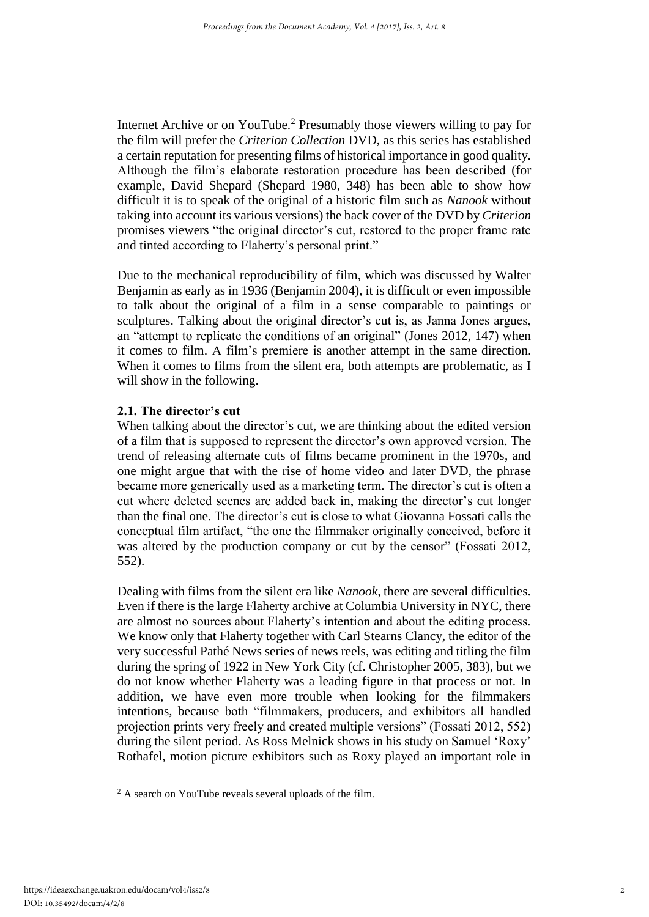Internet Archive or on YouTube.<sup>2</sup> Presumably those viewers willing to pay for the film will prefer the *Criterion Collection* DVD, as this series has established a certain reputation for presenting films of historical importance in good quality. Although the film's elaborate restoration procedure has been described (for example, David Shepard (Shepard 1980, 348) has been able to show how difficult it is to speak of the original of a historic film such as *Nanook* without taking into account its various versions) the back cover of the DVD by *Criterion* promises viewers "the original director's cut, restored to the proper frame rate and tinted according to Flaherty's personal print."

Due to the mechanical reproducibility of film, which was discussed by Walter Benjamin as early as in 1936 (Benjamin 2004), it is difficult or even impossible to talk about the original of a film in a sense comparable to paintings or sculptures. Talking about the original director's cut is, as Janna Jones argues, an "attempt to replicate the conditions of an original" (Jones 2012, 147) when it comes to film. A film's premiere is another attempt in the same direction. When it comes to films from the silent era, both attempts are problematic, as I will show in the following.

## **2.1. The director's cut**

When talking about the director's cut, we are thinking about the edited version of a film that is supposed to represent the director's own approved version. The trend of releasing alternate cuts of films became prominent in the 1970s, and one might argue that with the rise of home video and later DVD, the phrase became more generically used as a marketing term. The director's cut is often a cut where deleted scenes are added back in, making the director's cut longer than the final one. The director's cut is close to what Giovanna Fossati calls the conceptual film artifact, "the one the filmmaker originally conceived, before it was altered by the production company or cut by the censor" (Fossati 2012, 552).

Dealing with films from the silent era like *Nanook,* there are several difficulties. Even if there is the large Flaherty archive at Columbia University in NYC, there are almost no sources about Flaherty's intention and about the editing process. We know only that Flaherty together with Carl Stearns Clancy, the editor of the very successful Pathé News series of news reels, was editing and titling the film during the spring of 1922 in New York City (cf. Christopher 2005, 383), but we do not know whether Flaherty was a leading figure in that process or not. In addition, we have even more trouble when looking for the filmmakers intentions, because both "filmmakers, producers, and exhibitors all handled projection prints very freely and created multiple versions" (Fossati 2012, 552) during the silent period. As Ross Melnick shows in his study on Samuel 'Roxy' Rothafel, motion picture exhibitors such as Roxy played an important role in

-

<sup>&</sup>lt;sup>2</sup> A search on YouTube reveals several uploads of the film.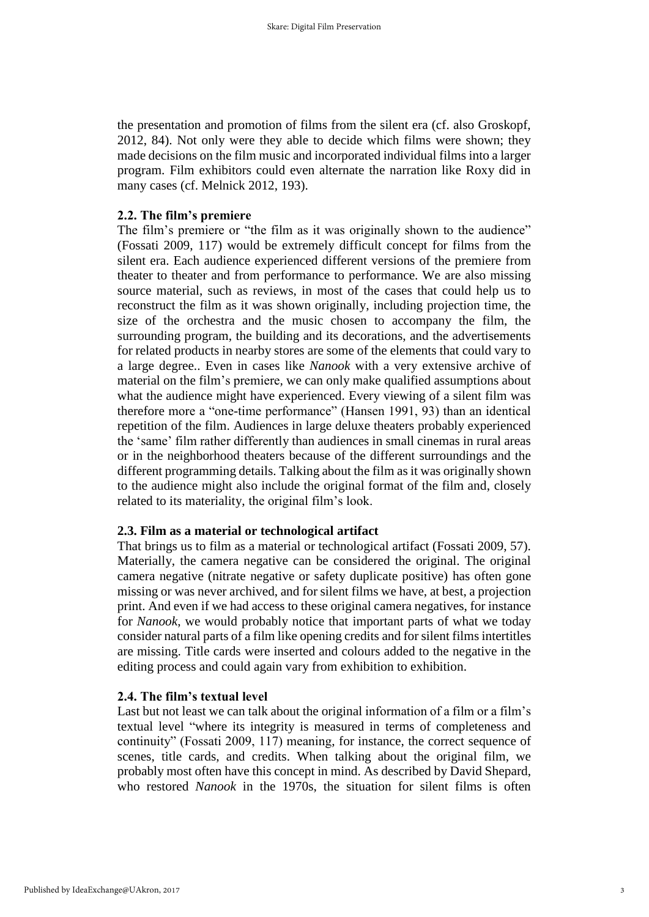the presentation and promotion of films from the silent era (cf. also Groskopf, 2012, 84). Not only were they able to decide which films were shown; they made decisions on the film music and incorporated individual films into a larger program. Film exhibitors could even alternate the narration like Roxy did in many cases (cf. Melnick 2012, 193).

### **2.2. The film's premiere**

The film's premiere or "the film as it was originally shown to the audience" (Fossati 2009, 117) would be extremely difficult concept for films from the silent era. Each audience experienced different versions of the premiere from theater to theater and from performance to performance. We are also missing source material, such as reviews, in most of the cases that could help us to reconstruct the film as it was shown originally, including projection time, the size of the orchestra and the music chosen to accompany the film, the surrounding program, the building and its decorations, and the advertisements for related products in nearby stores are some of the elements that could vary to a large degree.. Even in cases like *Nanook* with a very extensive archive of material on the film's premiere*,* we can only make qualified assumptions about what the audience might have experienced. Every viewing of a silent film was therefore more a "one-time performance" (Hansen 1991, 93) than an identical repetition of the film. Audiences in large deluxe theaters probably experienced the 'same' film rather differently than audiences in small cinemas in rural areas or in the neighborhood theaters because of the different surroundings and the different programming details. Talking about the film as it was originally shown to the audience might also include the original format of the film and, closely related to its materiality, the original film's look.

# **2.3. Film as a material or technological artifact**

That brings us to film as a material or technological artifact (Fossati 2009, 57). Materially, the camera negative can be considered the original. The original camera negative (nitrate negative or safety duplicate positive) has often gone missing or was never archived, and for silent films we have, at best, a projection print. And even if we had access to these original camera negatives, for instance for *Nanook*, we would probably notice that important parts of what we today consider natural parts of a film like opening credits and for silent films intertitles are missing. Title cards were inserted and colours added to the negative in the editing process and could again vary from exhibition to exhibition.

# **2.4. The film's textual level**

Last but not least we can talk about the original information of a film or a film's textual level "where its integrity is measured in terms of completeness and continuity" (Fossati 2009, 117) meaning, for instance, the correct sequence of scenes, title cards, and credits. When talking about the original film, we probably most often have this concept in mind. As described by David Shepard, who restored *Nanook* in the 1970s, the situation for silent films is often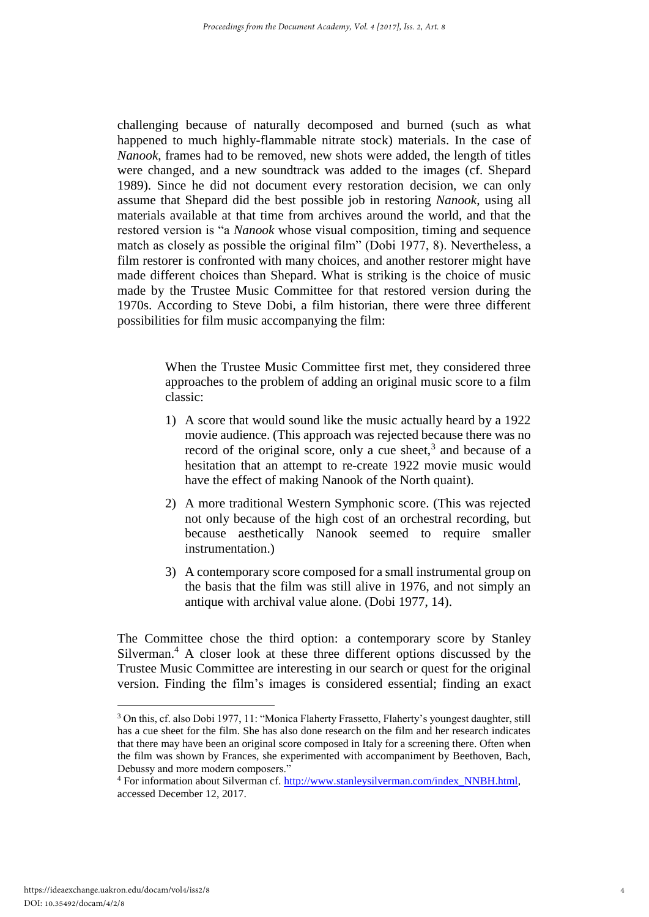challenging because of naturally decomposed and burned (such as what happened to much highly-flammable nitrate stock) materials. In the case of *Nanook*, frames had to be removed, new shots were added, the length of titles were changed, and a new soundtrack was added to the images (cf. Shepard 1989). Since he did not document every restoration decision, we can only assume that Shepard did the best possible job in restoring *Nanook*, using all materials available at that time from archives around the world, and that the restored version is "a *Nanook* whose visual composition, timing and sequence match as closely as possible the original film" (Dobi 1977, 8). Nevertheless, a film restorer is confronted with many choices, and another restorer might have made different choices than Shepard. What is striking is the choice of music made by the Trustee Music Committee for that restored version during the 1970s. According to Steve Dobi, a film historian, there were three different possibilities for film music accompanying the film:

> When the Trustee Music Committee first met, they considered three approaches to the problem of adding an original music score to a film classic:

- 1) A score that would sound like the music actually heard by a 1922 movie audience. (This approach was rejected because there was no record of the original score, only a cue sheet, $3$  and because of a hesitation that an attempt to re-create 1922 movie music would have the effect of making Nanook of the North quaint).
- 2) A more traditional Western Symphonic score. (This was rejected not only because of the high cost of an orchestral recording, but because aesthetically Nanook seemed to require smaller instrumentation.)
- 3) A contemporary score composed for a small instrumental group on the basis that the film was still alive in 1976, and not simply an antique with archival value alone. (Dobi 1977, 14).

The Committee chose the third option: a contemporary score by Stanley Silverman.<sup>4</sup> A closer look at these three different options discussed by the Trustee Music Committee are interesting in our search or quest for the original version. Finding the film's images is considered essential; finding an exact

-

<sup>3</sup> On this, cf. also Dobi 1977, 11: "Monica Flaherty Frassetto, Flaherty's youngest daughter, still has a cue sheet for the film. She has also done research on the film and her research indicates that there may have been an original score composed in Italy for a screening there. Often when the film was shown by Frances, she experimented with accompaniment by Beethoven, Bach, Debussy and more modern composers."

<sup>&</sup>lt;sup>4</sup> For information about Silverman cf. http://www.stanleysilverman.com/index\_NNBH.html, accessed December 12, 2017.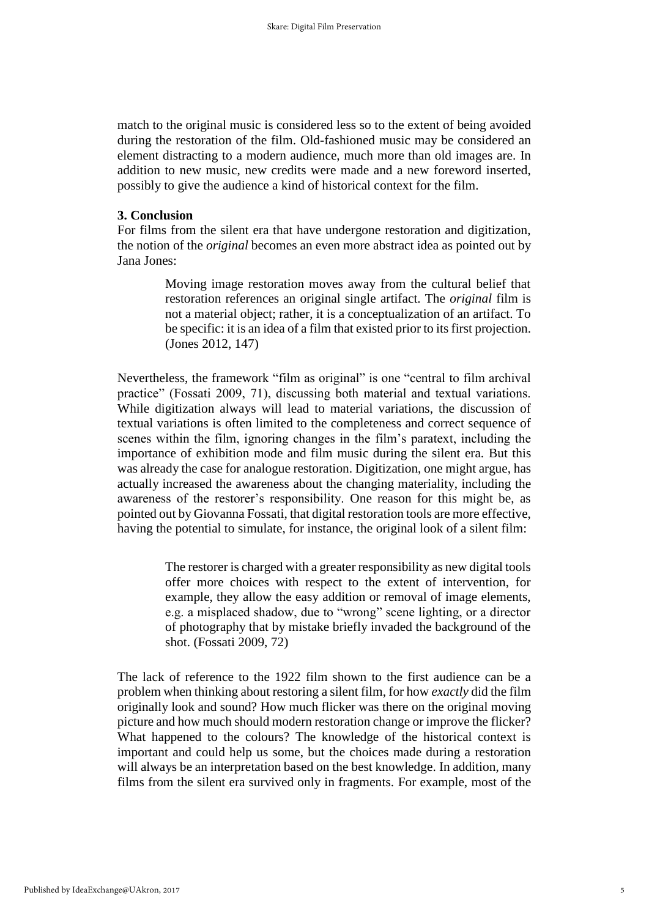match to the original music is considered less so to the extent of being avoided during the restoration of the film. Old-fashioned music may be considered an element distracting to a modern audience, much more than old images are. In addition to new music, new credits were made and a new foreword inserted, possibly to give the audience a kind of historical context for the film.

#### **3. Conclusion**

For films from the silent era that have undergone restoration and digitization, the notion of the *original* becomes an even more abstract idea as pointed out by Jana Jones:

> Moving image restoration moves away from the cultural belief that restoration references an original single artifact. The *original* film is not a material object; rather, it is a conceptualization of an artifact. To be specific: it is an idea of a film that existed prior to its first projection. (Jones 2012, 147)

Nevertheless, the framework "film as original" is one "central to film archival practice" (Fossati 2009, 71), discussing both material and textual variations. While digitization always will lead to material variations, the discussion of textual variations is often limited to the completeness and correct sequence of scenes within the film, ignoring changes in the film's paratext, including the importance of exhibition mode and film music during the silent era. But this was already the case for analogue restoration. Digitization, one might argue, has actually increased the awareness about the changing materiality, including the awareness of the restorer's responsibility. One reason for this might be, as pointed out by Giovanna Fossati, that digital restoration tools are more effective, having the potential to simulate, for instance, the original look of a silent film:

> The restorer is charged with a greater responsibility as new digital tools offer more choices with respect to the extent of intervention, for example, they allow the easy addition or removal of image elements, e.g. a misplaced shadow, due to "wrong" scene lighting, or a director of photography that by mistake briefly invaded the background of the shot. (Fossati 2009, 72)

The lack of reference to the 1922 film shown to the first audience can be a problem when thinking about restoring a silent film, for how *exactly* did the film originally look and sound? How much flicker was there on the original moving picture and how much should modern restoration change or improve the flicker? What happened to the colours? The knowledge of the historical context is important and could help us some, but the choices made during a restoration will always be an interpretation based on the best knowledge. In addition, many films from the silent era survived only in fragments. For example, most of the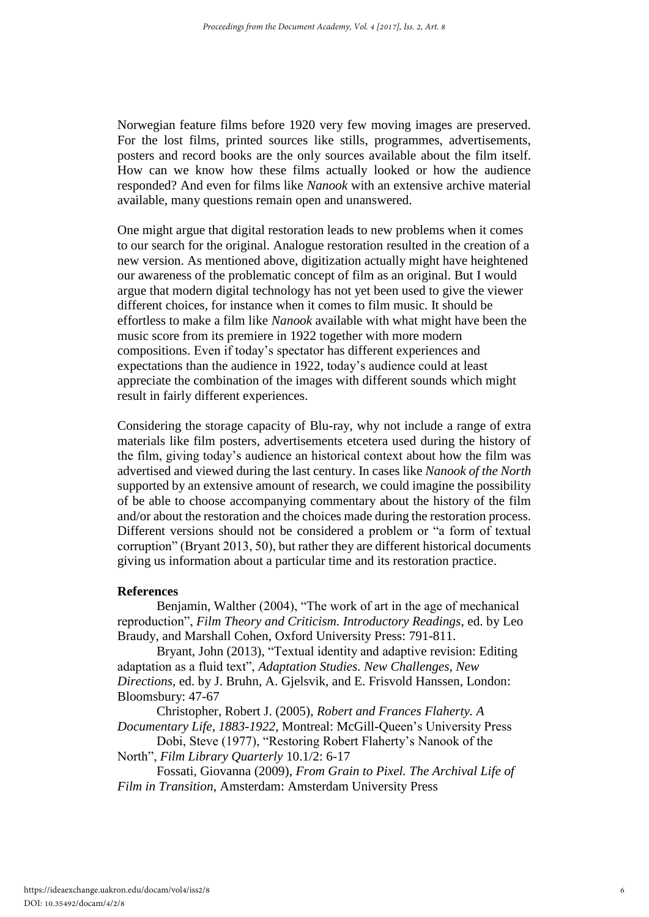Norwegian feature films before 1920 very few moving images are preserved. For the lost films, printed sources like stills, programmes, advertisements, posters and record books are the only sources available about the film itself. How can we know how these films actually looked or how the audience responded? And even for films like *Nanook* with an extensive archive material available, many questions remain open and unanswered.

One might argue that digital restoration leads to new problems when it comes to our search for the original. Analogue restoration resulted in the creation of a new version. As mentioned above, digitization actually might have heightened our awareness of the problematic concept of film as an original. But I would argue that modern digital technology has not yet been used to give the viewer different choices, for instance when it comes to film music. It should be effortless to make a film like *Nanook* available with what might have been the music score from its premiere in 1922 together with more modern compositions. Even if today's spectator has different experiences and expectations than the audience in 1922, today's audience could at least appreciate the combination of the images with different sounds which might result in fairly different experiences.

Considering the storage capacity of Blu-ray, why not include a range of extra materials like film posters, advertisements etcetera used during the history of the film, giving today's audience an historical context about how the film was advertised and viewed during the last century. In cases like *Nanook of the North* supported by an extensive amount of research, we could imagine the possibility of be able to choose accompanying commentary about the history of the film and/or about the restoration and the choices made during the restoration process. Different versions should not be considered a problem or "a form of textual corruption" (Bryant 2013, 50), but rather they are different historical documents giving us information about a particular time and its restoration practice.

#### **References**

Benjamin, Walther (2004), "The work of art in the age of mechanical reproduction", *Film Theory and Criticism. Introductory Readings*, ed. by Leo Braudy, and Marshall Cohen, Oxford University Press: 791-811.

Bryant, John (2013), "Textual identity and adaptive revision: Editing adaptation as a fluid text", *Adaptation Studies. New Challenges, New Directions*, ed. by J. Bruhn, A. Gjelsvik, and E. Frisvold Hanssen, London: Bloomsbury: 47-67

Christopher, Robert J. (2005), *Robert and Frances Flaherty. A Documentary Life, 1883-1922*, Montreal: McGill-Queen's University Press

Dobi, Steve (1977), "Restoring Robert Flaherty's Nanook of the North", *Film Library Quarterly* 10.1/2: 6-17

Fossati, Giovanna (2009), *From Grain to Pixel. The Archival Life of Film in Transition*, Amsterdam: Amsterdam University Press